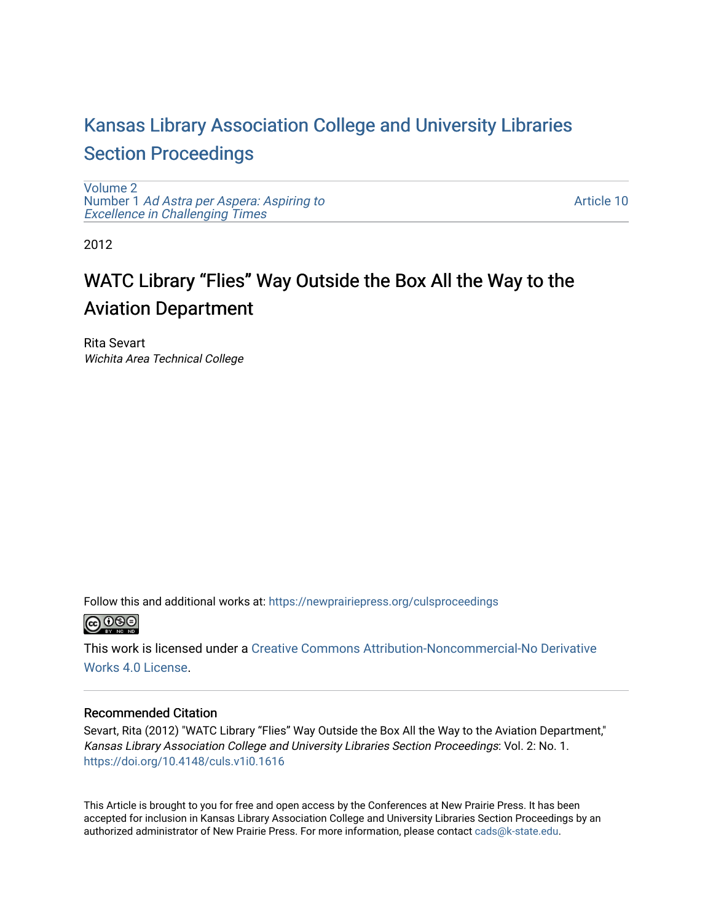# [Kansas Library Association College and University Libraries](https://newprairiepress.org/culsproceedings)  [Section Proceedings](https://newprairiepress.org/culsproceedings)

[Volume 2](https://newprairiepress.org/culsproceedings/vol2) Number 1 [Ad Astra per Aspera: Aspiring to](https://newprairiepress.org/culsproceedings/vol2/iss1)  Excellence in Challenging Times

[Article 10](https://newprairiepress.org/culsproceedings/vol2/iss1/10) 

2012

# WATC Library "Flies" Way Outside the Box All the Way to the Aviation Department

Rita Sevart Wichita Area Technical College

Follow this and additional works at: [https://newprairiepress.org/culsproceedings](https://newprairiepress.org/culsproceedings?utm_source=newprairiepress.org%2Fculsproceedings%2Fvol2%2Fiss1%2F10&utm_medium=PDF&utm_campaign=PDFCoverPages)



This work is licensed under a [Creative Commons Attribution-Noncommercial-No Derivative](https://creativecommons.org/licenses/by-nc-nd/4.0/)  [Works 4.0 License](https://creativecommons.org/licenses/by-nc-nd/4.0/).

### Recommended Citation

Sevart, Rita (2012) "WATC Library "Flies" Way Outside the Box All the Way to the Aviation Department," Kansas Library Association College and University Libraries Section Proceedings: Vol. 2: No. 1. <https://doi.org/10.4148/culs.v1i0.1616>

This Article is brought to you for free and open access by the Conferences at New Prairie Press. It has been accepted for inclusion in Kansas Library Association College and University Libraries Section Proceedings by an authorized administrator of New Prairie Press. For more information, please contact [cads@k-state.edu.](mailto:cads@k-state.edu)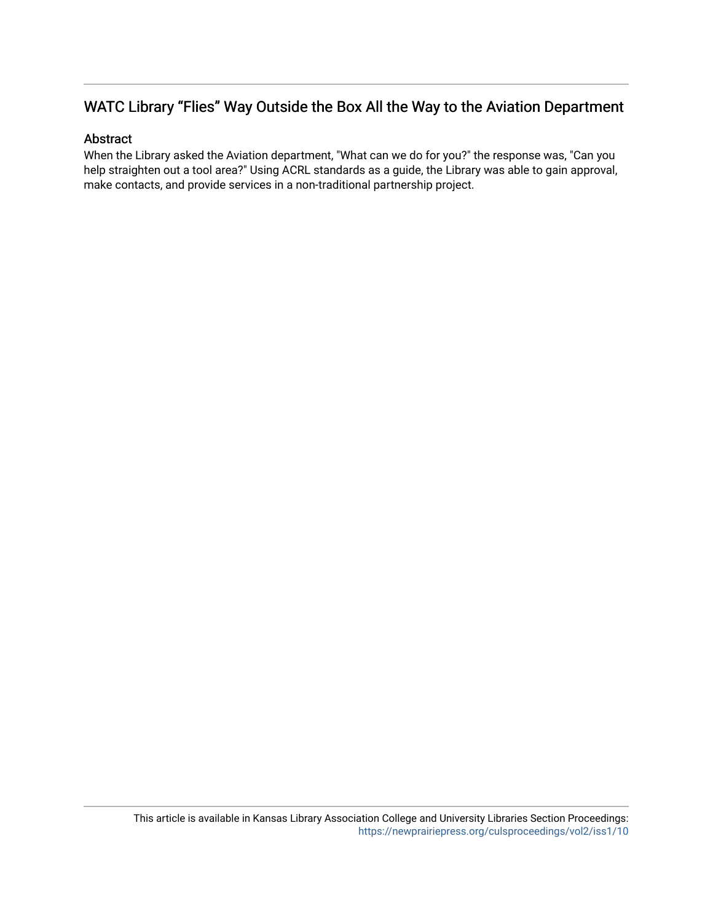# WATC Library "Flies" Way Outside the Box All the Way to the Aviation Department

## Abstract

When the Library asked the Aviation department, "What can we do for you?" the response was, "Can you help straighten out a tool area?" Using ACRL standards as a guide, the Library was able to gain approval, make contacts, and provide services in a non-traditional partnership project.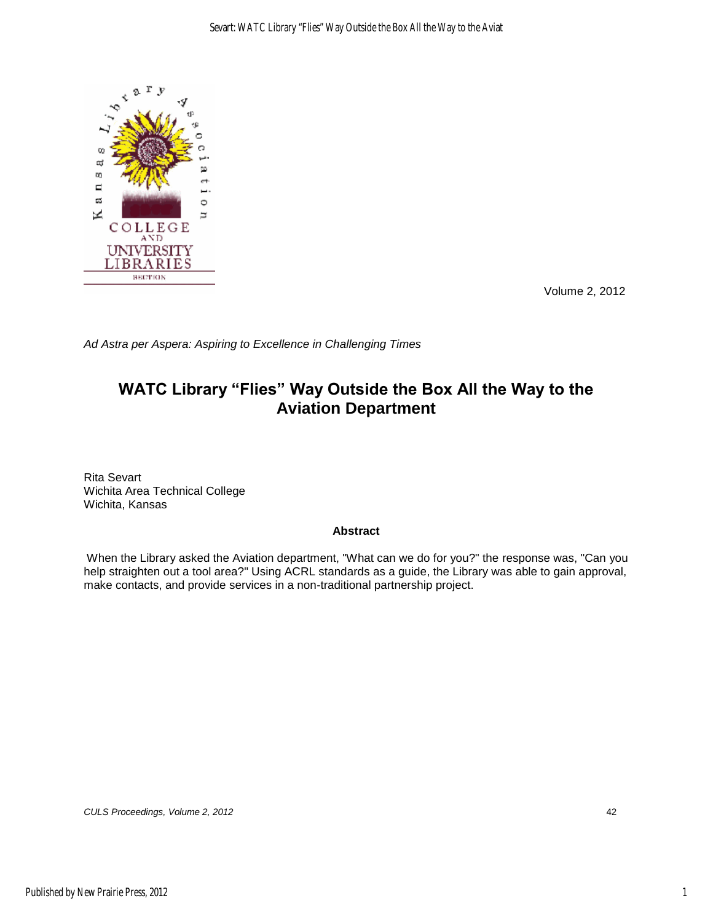

Volume 2, 2012

*Ad Astra per Aspera: Aspiring to Excellence in Challenging Times* 

# **WATC Library "Flies" Way Outside the Box All the Way to the Aviation Department**

Rita Sevart Wichita Area Technical College Wichita, Kansas

#### **Abstract**

 When the Library asked the Aviation department, "What can we do for you?" the response was, "Can you help straighten out a tool area?" Using ACRL standards as a guide, the Library was able to gain approval, make contacts, and provide services in a non-traditional partnership project.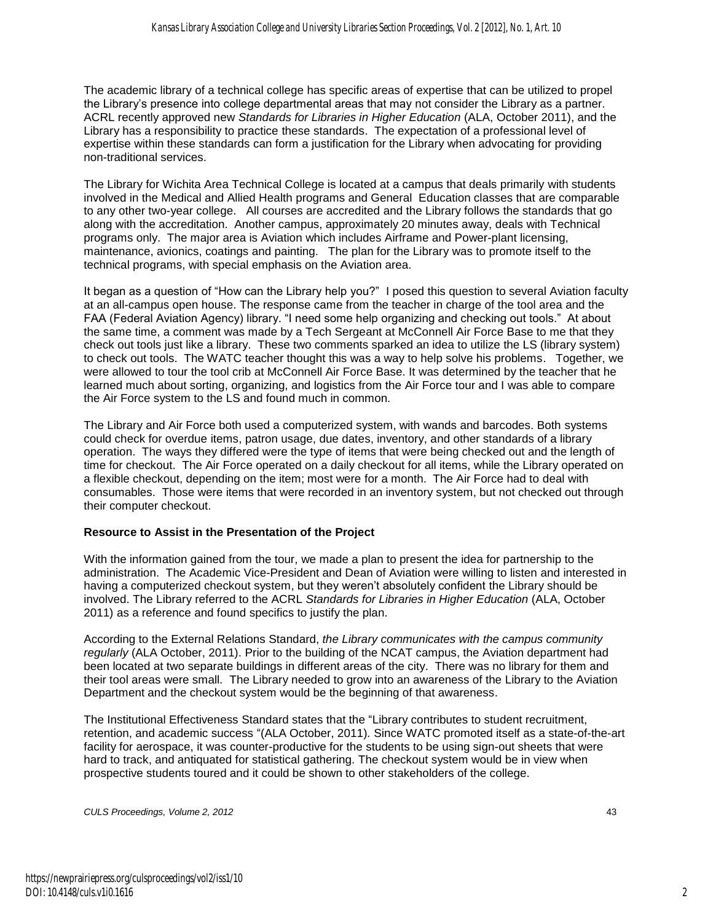The academic library of a technical college has specific areas of expertise that can be utilized to propel the Library"s presence into college departmental areas that may not consider the Library as a partner. ACRL recently approved new *Standards for Libraries in Higher Education* (ALA, October 2011), and the Library has a responsibility to practice these standards. The expectation of a professional level of expertise within these standards can form a justification for the Library when advocating for providing non-traditional services.

The Library for Wichita Area Technical College is located at a campus that deals primarily with students involved in the Medical and Allied Health programs and General Education classes that are comparable to any other two-year college. All courses are accredited and the Library follows the standards that go along with the accreditation. Another campus, approximately 20 minutes away, deals with Technical programs only. The major area is Aviation which includes Airframe and Power-plant licensing, maintenance, avionics, coatings and painting. The plan for the Library was to promote itself to the technical programs, with special emphasis on the Aviation area.

It began as a question of "How can the Library help you?" I posed this question to several Aviation faculty at an all-campus open house. The response came from the teacher in charge of the tool area and the FAA (Federal Aviation Agency) library. "I need some help organizing and checking out tools." At about the same time, a comment was made by a Tech Sergeant at McConnell Air Force Base to me that they check out tools just like a library. These two comments sparked an idea to utilize the LS (library system) to check out tools. The WATC teacher thought this was a way to help solve his problems. Together, we were allowed to tour the tool crib at McConnell Air Force Base. It was determined by the teacher that he learned much about sorting, organizing, and logistics from the Air Force tour and I was able to compare the Air Force system to the LS and found much in common.

The Library and Air Force both used a computerized system, with wands and barcodes. Both systems could check for overdue items, patron usage, due dates, inventory, and other standards of a library operation. The ways they differed were the type of items that were being checked out and the length of time for checkout. The Air Force operated on a daily checkout for all items, while the Library operated on a flexible checkout, depending on the item; most were for a month. The Air Force had to deal with consumables. Those were items that were recorded in an inventory system, but not checked out through their computer checkout.

### **Resource to Assist in the Presentation of the Project**

With the information gained from the tour, we made a plan to present the idea for partnership to the administration. The Academic Vice-President and Dean of Aviation were willing to listen and interested in having a computerized checkout system, but they weren"t absolutely confident the Library should be involved. The Library referred to the ACRL *Standards for Libraries in Higher Education* (ALA, October 2011) as a reference and found specifics to justify the plan.

According to the External Relations Standard, *the Library communicates with the campus community regularly* (ALA October, 2011). Prior to the building of the NCAT campus, the Aviation department had been located at two separate buildings in different areas of the city. There was no library for them and their tool areas were small. The Library needed to grow into an awareness of the Library to the Aviation Department and the checkout system would be the beginning of that awareness.

The Institutional Effectiveness Standard states that the "Library contributes to student recruitment, retention, and academic success "(ALA October, 2011)*.* Since WATC promoted itself as a state-of-the-art facility for aerospace, it was counter-productive for the students to be using sign-out sheets that were hard to track, and antiquated for statistical gathering. The checkout system would be in view when prospective students toured and it could be shown to other stakeholders of the college.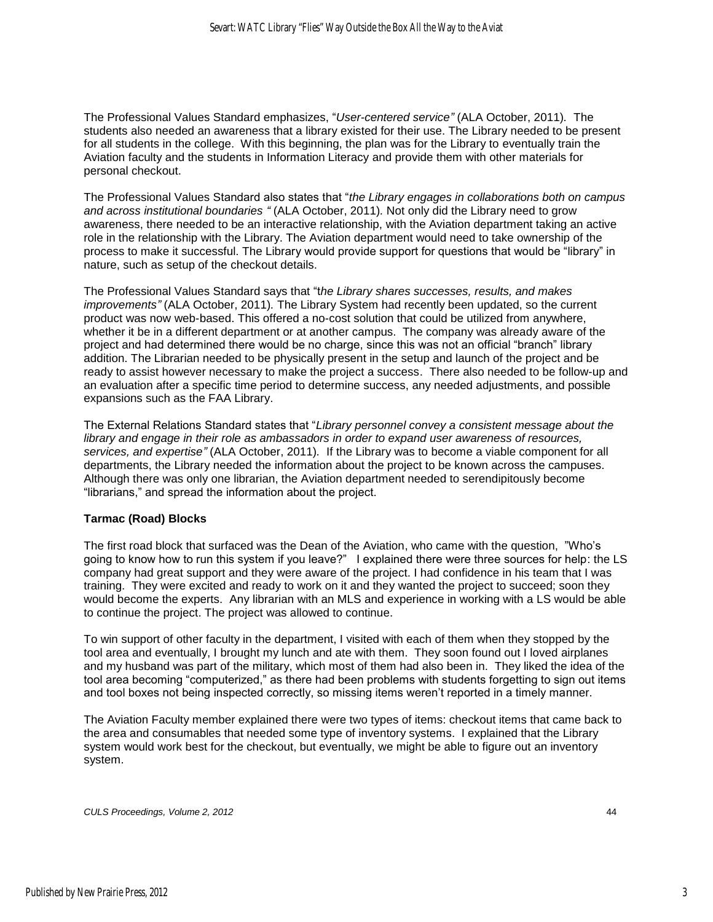The Professional Values Standard emphasizes, "*User-centered service"* (ALA October, 2011)*.* The students also needed an awareness that a library existed for their use. The Library needed to be present for all students in the college. With this beginning, the plan was for the Library to eventually train the Aviation faculty and the students in Information Literacy and provide them with other materials for personal checkout.

The Professional Values Standard also states that "*the Library engages in collaborations both on campus and across institutional boundaries "* (ALA October, 2011)*.* Not only did the Library need to grow awareness, there needed to be an interactive relationship, with the Aviation department taking an active role in the relationship with the Library. The Aviation department would need to take ownership of the process to make it successful. The Library would provide support for questions that would be "library" in nature, such as setup of the checkout details.

The Professional Values Standard says that "t*he Library shares successes, results, and makes improvements"* (ALA October, 2011)*.* The Library System had recently been updated, so the current product was now web-based. This offered a no-cost solution that could be utilized from anywhere, whether it be in a different department or at another campus. The company was already aware of the project and had determined there would be no charge, since this was not an official "branch" library addition. The Librarian needed to be physically present in the setup and launch of the project and be ready to assist however necessary to make the project a success. There also needed to be follow-up and an evaluation after a specific time period to determine success, any needed adjustments, and possible expansions such as the FAA Library.

The External Relations Standard states that "*Library personnel convey a consistent message about the library and engage in their role as ambassadors in order to expand user awareness of resources, services, and expertise"* (ALA October, 2011)*.* If the Library was to become a viable component for all departments, the Library needed the information about the project to be known across the campuses. Although there was only one librarian, the Aviation department needed to serendipitously become "librarians," and spread the information about the project.

#### **Tarmac (Road) Blocks**

The first road block that surfaced was the Dean of the Aviation, who came with the question, "Who"s going to know how to run this system if you leave?" I explained there were three sources for help: the LS company had great support and they were aware of the project. I had confidence in his team that I was training. They were excited and ready to work on it and they wanted the project to succeed; soon they would become the experts. Any librarian with an MLS and experience in working with a LS would be able to continue the project. The project was allowed to continue.

To win support of other faculty in the department, I visited with each of them when they stopped by the tool area and eventually, I brought my lunch and ate with them. They soon found out I loved airplanes and my husband was part of the military, which most of them had also been in. They liked the idea of the tool area becoming "computerized," as there had been problems with students forgetting to sign out items and tool boxes not being inspected correctly, so missing items weren"t reported in a timely manner.

The Aviation Faculty member explained there were two types of items: checkout items that came back to the area and consumables that needed some type of inventory systems. I explained that the Library system would work best for the checkout, but eventually, we might be able to figure out an inventory system.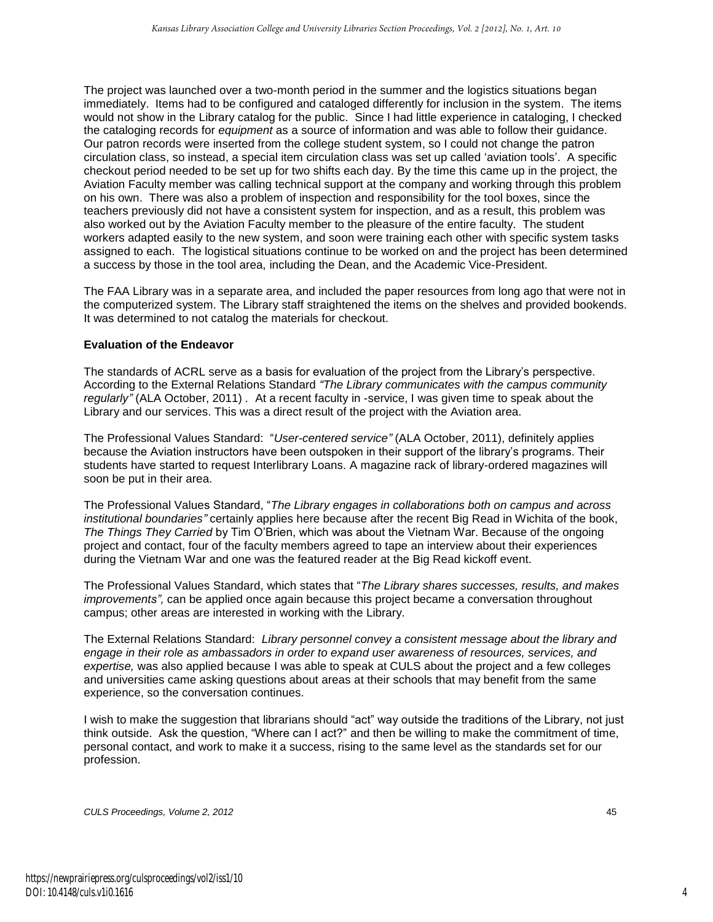The project was launched over a two-month period in the summer and the logistics situations began immediately. Items had to be configured and cataloged differently for inclusion in the system. The items would not show in the Library catalog for the public. Since I had little experience in cataloging, I checked the cataloging records for *equipment* as a source of information and was able to follow their guidance. Our patron records were inserted from the college student system, so I could not change the patron circulation class, so instead, a special item circulation class was set up called "aviation tools". A specific checkout period needed to be set up for two shifts each day. By the time this came up in the project, the Aviation Faculty member was calling technical support at the company and working through this problem on his own. There was also a problem of inspection and responsibility for the tool boxes, since the teachers previously did not have a consistent system for inspection, and as a result, this problem was also worked out by the Aviation Faculty member to the pleasure of the entire faculty. The student workers adapted easily to the new system, and soon were training each other with specific system tasks assigned to each. The logistical situations continue to be worked on and the project has been determined a success by those in the tool area, including the Dean, and the Academic Vice-President.

The FAA Library was in a separate area, and included the paper resources from long ago that were not in the computerized system. The Library staff straightened the items on the shelves and provided bookends. It was determined to not catalog the materials for checkout.

#### **Evaluation of the Endeavor**

The standards of ACRL serve as a basis for evaluation of the project from the Library"s perspective. According to the External Relations Standard *"The Library communicates with the campus community regularly"* (ALA October, 2011) *.* At a recent faculty in -service, I was given time to speak about the Library and our services. This was a direct result of the project with the Aviation area.

The Professional Values Standard: "*User-centered service"* (ALA October, 2011), definitely applies because the Aviation instructors have been outspoken in their support of the library"s programs. Their students have started to request Interlibrary Loans. A magazine rack of library-ordered magazines will soon be put in their area.

The Professional Values Standard, "*The Library engages in collaborations both on campus and across institutional boundaries"* certainly applies here because after the recent Big Read in Wichita of the book, *The Things They Carried* by Tim O"Brien, which was about the Vietnam War. Because of the ongoing project and contact, four of the faculty members agreed to tape an interview about their experiences during the Vietnam War and one was the featured reader at the Big Read kickoff event.

The Professional Values Standard, which states that "*The Library shares successes, results, and makes improvements",* can be applied once again because this project became a conversation throughout campus; other areas are interested in working with the Library.

The External Relations Standard: *Library personnel convey a consistent message about the library and engage in their role as ambassadors in order to expand user awareness of resources, services, and expertise,* was also applied because I was able to speak at CULS about the project and a few colleges and universities came asking questions about areas at their schools that may benefit from the same experience, so the conversation continues.

I wish to make the suggestion that librarians should "act" way outside the traditions of the Library, not just think outside. Ask the question, "Where can I act?" and then be willing to make the commitment of time, personal contact, and work to make it a success, rising to the same level as the standards set for our profession.